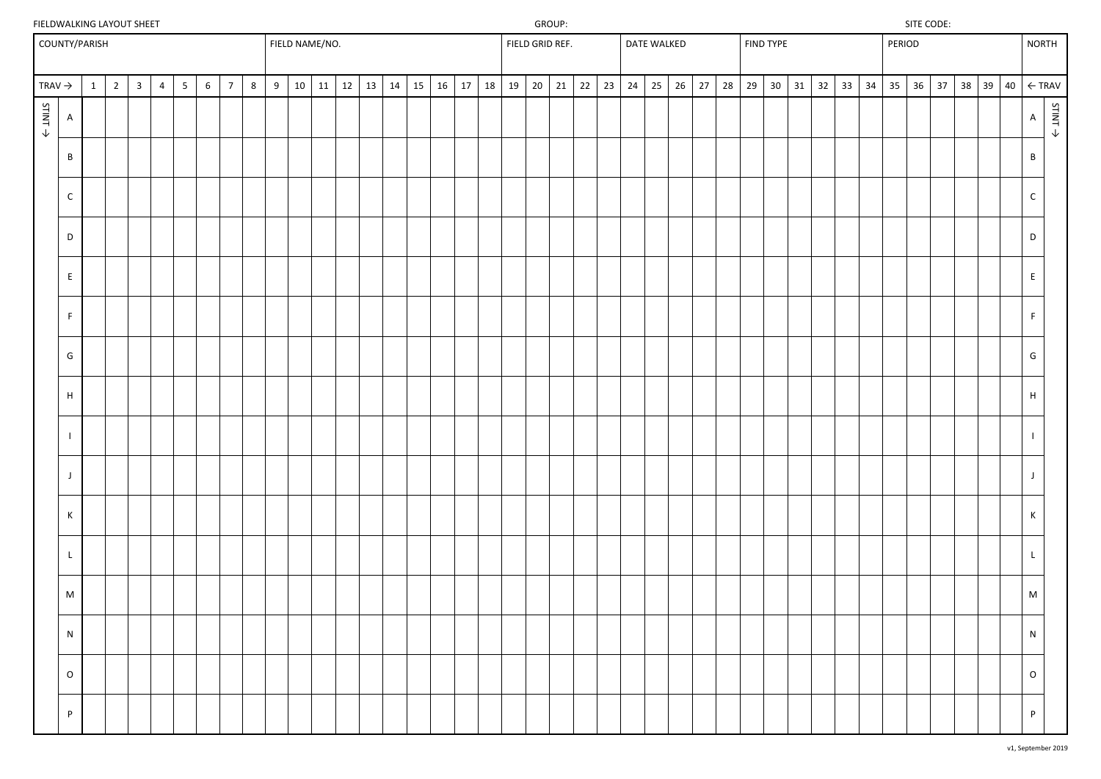# FIELDWALKING LAYOUT SHEET SITE CODE: SITE CODE:

|--|

|                    | COUNTY/PARISH |                 |                         |                |                 |                 |                |   |   | FIELD NAME/NO. |    |    |    |         |    |    |    | FIELD GRID REF. |  |          |    | DATE WALKED  |    |    |    | FIND TYPE       |    |    |    |    | PERIOD |              |  |            | <b>NORTH</b>    |                                                            |
|--------------------|---------------|-----------------|-------------------------|----------------|-----------------|-----------------|----------------|---|---|----------------|----|----|----|---------|----|----|----|-----------------|--|----------|----|--------------|----|----|----|-----------------|----|----|----|----|--------|--------------|--|------------|-----------------|------------------------------------------------------------|
| TRAV $\rightarrow$ |               | $1 \mid 2 \mid$ | $\overline{\mathbf{3}}$ | $\overline{4}$ | $5\overline{)}$ | $6\overline{6}$ | $\overline{7}$ | 8 | 9 | 10             | 11 | 12 | 13 | $14$ 15 | 16 | 17 | 18 | $19 \mid 20$    |  | 21 22 23 | 24 | $25 \mid 26$ | 27 | 28 | 29 | 30 <sup>°</sup> | 31 | 32 | 33 | 34 | 35     | $36 \mid 37$ |  | $38$ 39 40 |                 | $\leftarrow$ TRAV                                          |
| STINT >            | $\mathsf{A}$  |                 |                         |                |                 |                 |                |   |   |                |    |    |    |         |    |    |    |                 |  |          |    |              |    |    |    |                 |    |    |    |    |        |              |  |            | $\mathsf{A}$    | $\begin{aligned} \mathsf{STINT} \Rightarrow \end{aligned}$ |
|                    | $\, {\sf B}$  |                 |                         |                |                 |                 |                |   |   |                |    |    |    |         |    |    |    |                 |  |          |    |              |    |    |    |                 |    |    |    |    |        |              |  |            | $\, {\bf B} \,$ |                                                            |
|                    | $\mathsf C$   |                 |                         |                |                 |                 |                |   |   |                |    |    |    |         |    |    |    |                 |  |          |    |              |    |    |    |                 |    |    |    |    |        |              |  |            | $\mathsf{C}$    |                                                            |
|                    | D             |                 |                         |                |                 |                 |                |   |   |                |    |    |    |         |    |    |    |                 |  |          |    |              |    |    |    |                 |    |    |    |    |        |              |  |            | $\mathsf D$     |                                                            |
|                    | $\mathsf E$   |                 |                         |                |                 |                 |                |   |   |                |    |    |    |         |    |    |    |                 |  |          |    |              |    |    |    |                 |    |    |    |    |        |              |  |            | $\mathsf{E}^-$  |                                                            |
|                    | F             |                 |                         |                |                 |                 |                |   |   |                |    |    |    |         |    |    |    |                 |  |          |    |              |    |    |    |                 |    |    |    |    |        |              |  |            | F               |                                                            |
|                    | G             |                 |                         |                |                 |                 |                |   |   |                |    |    |    |         |    |    |    |                 |  |          |    |              |    |    |    |                 |    |    |    |    |        |              |  |            | G               |                                                            |
|                    | $\mathsf H$   |                 |                         |                |                 |                 |                |   |   |                |    |    |    |         |    |    |    |                 |  |          |    |              |    |    |    |                 |    |    |    |    |        |              |  |            | H               |                                                            |
|                    |               |                 |                         |                |                 |                 |                |   |   |                |    |    |    |         |    |    |    |                 |  |          |    |              |    |    |    |                 |    |    |    |    |        |              |  |            |                 |                                                            |
|                    | $\mathsf{J}$  |                 |                         |                |                 |                 |                |   |   |                |    |    |    |         |    |    |    |                 |  |          |    |              |    |    |    |                 |    |    |    |    |        |              |  |            | $\mathsf{J}$    |                                                            |
|                    | $\mathsf K$   |                 |                         |                |                 |                 |                |   |   |                |    |    |    |         |    |    |    |                 |  |          |    |              |    |    |    |                 |    |    |    |    |        |              |  |            | $\mathsf{K}$    |                                                            |
|                    | $\mathsf{L}$  |                 |                         |                |                 |                 |                |   |   |                |    |    |    |         |    |    |    |                 |  |          |    |              |    |    |    |                 |    |    |    |    |        |              |  |            |                 |                                                            |
|                    | M             |                 |                         |                |                 |                 |                |   |   |                |    |    |    |         |    |    |    |                 |  |          |    |              |    |    |    |                 |    |    |    |    |        |              |  |            | M               |                                                            |
|                    | ${\sf N}$     |                 |                         |                |                 |                 |                |   |   |                |    |    |    |         |    |    |    |                 |  |          |    |              |    |    |    |                 |    |    |    |    |        |              |  |            | N               |                                                            |
|                    | $\circ$       |                 |                         |                |                 |                 |                |   |   |                |    |    |    |         |    |    |    |                 |  |          |    |              |    |    |    |                 |    |    |    |    |        |              |  |            | $\circ$         |                                                            |
|                    | $\mathsf{P}$  |                 |                         |                |                 |                 |                |   |   |                |    |    |    |         |    |    |    |                 |  |          |    |              |    |    |    |                 |    |    |    |    |        |              |  |            | P               |                                                            |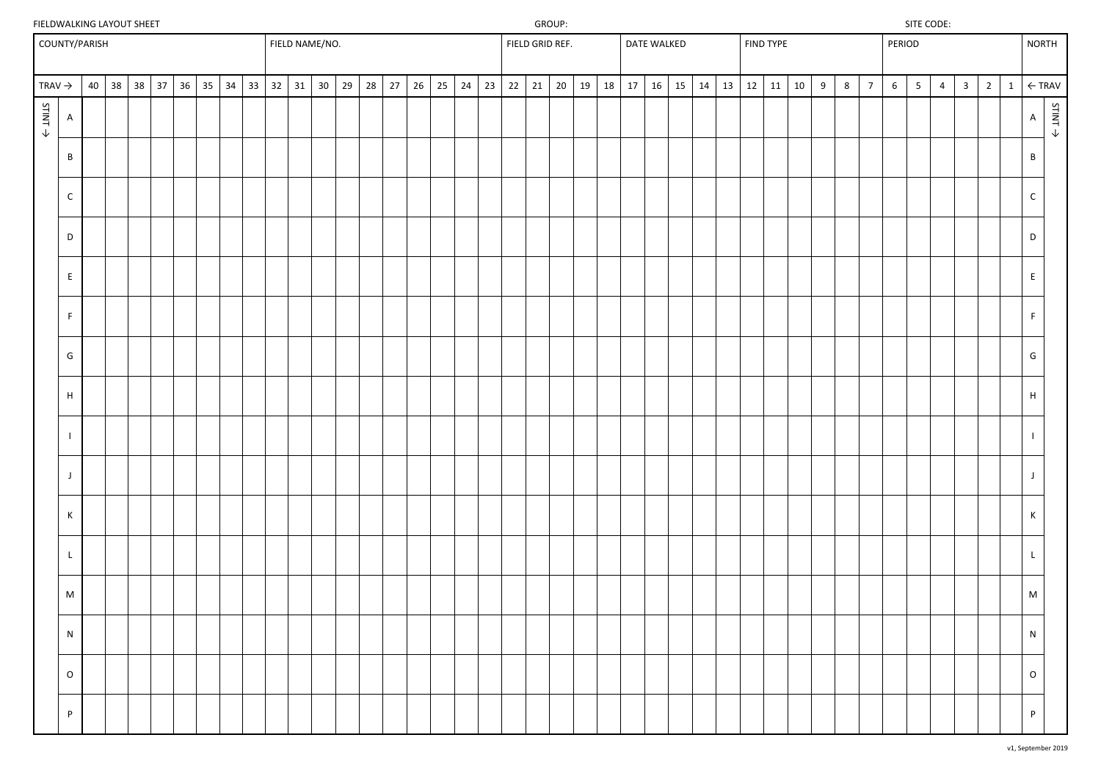## FIELDWALKING LAYOUT SHEET SITE CODE: SITE CODE:

|                        | COUNTY/PARISH      |                   |    |    |    |    |    |    |    | FIELD NAME/NO. |                 |    |    |    |    |    |    |    |    |    | FIELD GRID REF. |    |    |    |    | <b>DATE WALKED</b> |    |    |    | <b>FIND TYPE</b> |    |   |   |                | PERIOD          |                |                |                |                |              | <b>NORTH</b>    |                   |  |
|------------------------|--------------------|-------------------|----|----|----|----|----|----|----|----------------|-----------------|----|----|----|----|----|----|----|----|----|-----------------|----|----|----|----|--------------------|----|----|----|------------------|----|---|---|----------------|-----------------|----------------|----------------|----------------|----------------|--------------|-----------------|-------------------|--|
| TRAV $\rightarrow$     |                    | $40 \mid 38 \mid$ | 38 | 37 | 36 | 35 | 34 | 33 | 32 | 31             | 30 <sup>°</sup> | 29 | 28 | 27 | 26 | 25 | 24 | 23 | 22 | 21 | 20              | 19 | 18 | 17 | 16 | 15                 | 14 | 13 | 12 | 11               | 10 | 9 | 8 | $\overline{7}$ | $6\overline{6}$ | 5 <sup>5</sup> | $\overline{4}$ | $\overline{3}$ | $\overline{2}$ | $\mathbf{1}$ |                 | $\leftarrow$ TRAV |  |
| $5$ TINT $\rightarrow$ | $\overline{A}$     |                   |    |    |    |    |    |    |    |                |                 |    |    |    |    |    |    |    |    |    |                 |    |    |    |    |                    |    |    |    |                  |    |   |   |                |                 |                |                |                |                |              | $\mathsf{A}$    | STINT >           |  |
|                        | $\, {\bf B}$       |                   |    |    |    |    |    |    |    |                |                 |    |    |    |    |    |    |    |    |    |                 |    |    |    |    |                    |    |    |    |                  |    |   |   |                |                 |                |                |                |                |              | $\, {\bf B} \,$ |                   |  |
|                        | $\mathsf C$        |                   |    |    |    |    |    |    |    |                |                 |    |    |    |    |    |    |    |    |    |                 |    |    |    |    |                    |    |    |    |                  |    |   |   |                |                 |                |                |                |                |              | $\mathsf{C}$    |                   |  |
|                        | $\mathsf D$        |                   |    |    |    |    |    |    |    |                |                 |    |    |    |    |    |    |    |    |    |                 |    |    |    |    |                    |    |    |    |                  |    |   |   |                |                 |                |                |                |                |              | $\mathsf D$     |                   |  |
|                        | $\mathsf{E}$       |                   |    |    |    |    |    |    |    |                |                 |    |    |    |    |    |    |    |    |    |                 |    |    |    |    |                    |    |    |    |                  |    |   |   |                |                 |                |                |                |                |              | E               |                   |  |
|                        | F                  |                   |    |    |    |    |    |    |    |                |                 |    |    |    |    |    |    |    |    |    |                 |    |    |    |    |                    |    |    |    |                  |    |   |   |                |                 |                |                |                |                |              | F               |                   |  |
|                        | ${\mathsf G}$      |                   |    |    |    |    |    |    |    |                |                 |    |    |    |    |    |    |    |    |    |                 |    |    |    |    |                    |    |    |    |                  |    |   |   |                |                 |                |                |                |                |              | $\mathsf{G}\,$  |                   |  |
|                        | $\mathsf H$        |                   |    |    |    |    |    |    |    |                |                 |    |    |    |    |    |    |    |    |    |                 |    |    |    |    |                    |    |    |    |                  |    |   |   |                |                 |                |                |                |                |              | H               |                   |  |
|                        | $\mathbf{I}$       |                   |    |    |    |    |    |    |    |                |                 |    |    |    |    |    |    |    |    |    |                 |    |    |    |    |                    |    |    |    |                  |    |   |   |                |                 |                |                |                |                |              |                 |                   |  |
|                        | $\mathsf{J}$       |                   |    |    |    |    |    |    |    |                |                 |    |    |    |    |    |    |    |    |    |                 |    |    |    |    |                    |    |    |    |                  |    |   |   |                |                 |                |                |                |                |              | $\mathbf{J}$    |                   |  |
|                        | $\,$ K             |                   |    |    |    |    |    |    |    |                |                 |    |    |    |    |    |    |    |    |    |                 |    |    |    |    |                    |    |    |    |                  |    |   |   |                |                 |                |                |                |                |              | $\mathsf{K}$    |                   |  |
|                        | $\mathsf{L}$       |                   |    |    |    |    |    |    |    |                |                 |    |    |    |    |    |    |    |    |    |                 |    |    |    |    |                    |    |    |    |                  |    |   |   |                |                 |                |                |                |                |              | $\mathsf{L}$    |                   |  |
|                        | $\mathsf{M}% _{0}$ |                   |    |    |    |    |    |    |    |                |                 |    |    |    |    |    |    |    |    |    |                 |    |    |    |    |                    |    |    |    |                  |    |   |   |                |                 |                |                |                |                |              | M               |                   |  |
|                        | ${\sf N}$          |                   |    |    |    |    |    |    |    |                |                 |    |    |    |    |    |    |    |    |    |                 |    |    |    |    |                    |    |    |    |                  |    |   |   |                |                 |                |                |                |                |              | N               |                   |  |
|                        | $\mathsf O$        |                   |    |    |    |    |    |    |    |                |                 |    |    |    |    |    |    |    |    |    |                 |    |    |    |    |                    |    |    |    |                  |    |   |   |                |                 |                |                |                |                |              | $\circ$         |                   |  |
|                        | P                  |                   |    |    |    |    |    |    |    |                |                 |    |    |    |    |    |    |    |    |    |                 |    |    |    |    |                    |    |    |    |                  |    |   |   |                |                 |                |                |                |                |              | P               |                   |  |